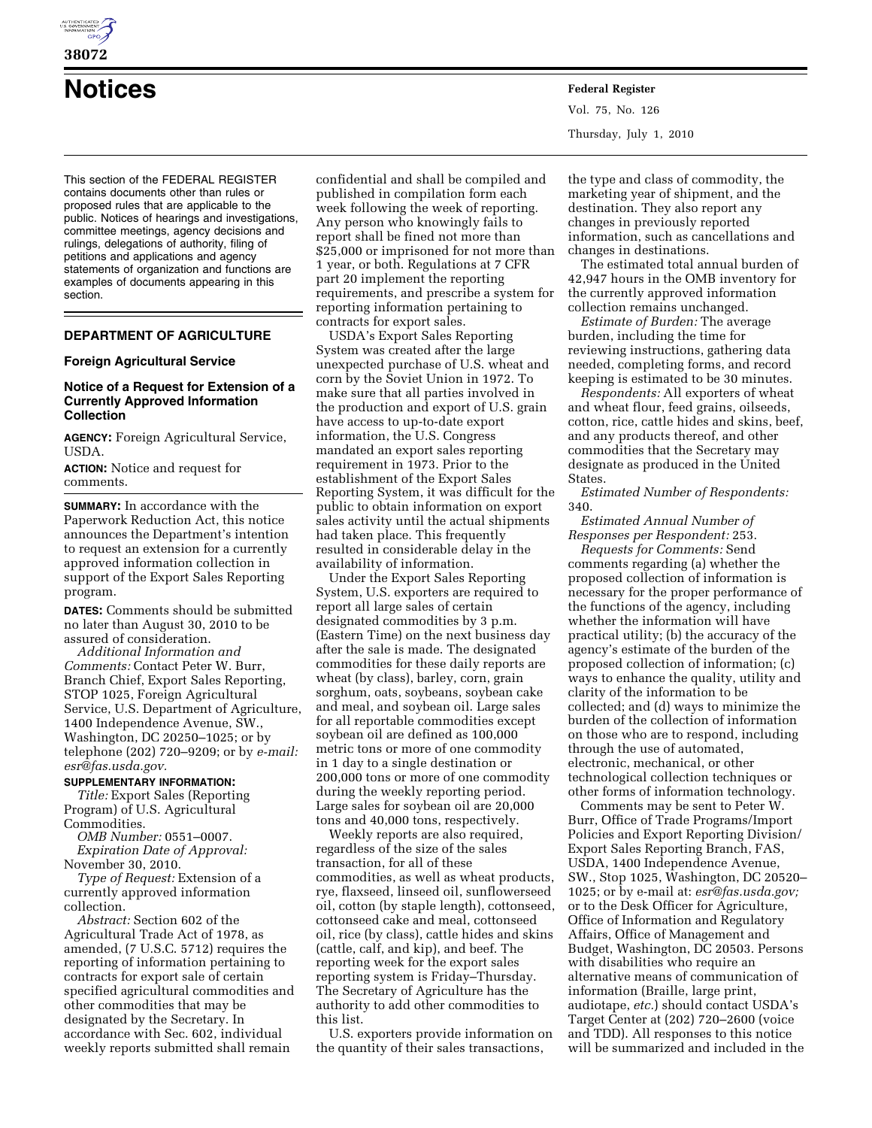

**38072** 

This section of the FEDERAL REGISTER contains documents other than rules or proposed rules that are applicable to the public. Notices of hearings and investigations, committee meetings, agency decisions and rulings, delegations of authority, filing of petitions and applications and agency statements of organization and functions are examples of documents appearing in this section.

# **DEPARTMENT OF AGRICULTURE**

#### **Foreign Agricultural Service**

### **Notice of a Request for Extension of a Currently Approved Information Collection**

**AGENCY:** Foreign Agricultural Service, USDA.

**ACTION:** Notice and request for comments.

**SUMMARY:** In accordance with the Paperwork Reduction Act, this notice announces the Department's intention to request an extension for a currently approved information collection in support of the Export Sales Reporting program.

**DATES:** Comments should be submitted no later than August 30, 2010 to be assured of consideration.

*Additional Information and Comments:* Contact Peter W. Burr, Branch Chief, Export Sales Reporting, STOP 1025, Foreign Agricultural Service, U.S. Department of Agriculture, 1400 Independence Avenue, SW., Washington, DC 20250–1025; or by telephone (202) 720–9209; or by *e-mail: esr@fas.usda.gov.* 

# **SUPPLEMENTARY INFORMATION:**

*Title:* Export Sales (Reporting Program) of U.S. Agricultural Commodities.

*OMB Number:* 0551–0007. *Expiration Date of Approval:*  November 30, 2010.

*Type of Request:* Extension of a currently approved information collection.

*Abstract:* Section 602 of the Agricultural Trade Act of 1978, as amended, (7 U.S.C. 5712) requires the reporting of information pertaining to contracts for export sale of certain specified agricultural commodities and other commodities that may be designated by the Secretary. In accordance with Sec. 602, individual weekly reports submitted shall remain

confidential and shall be compiled and published in compilation form each week following the week of reporting. Any person who knowingly fails to report shall be fined not more than \$25,000 or imprisoned for not more than 1 year, or both. Regulations at 7 CFR part 20 implement the reporting requirements, and prescribe a system for reporting information pertaining to contracts for export sales.

USDA's Export Sales Reporting System was created after the large unexpected purchase of U.S. wheat and corn by the Soviet Union in 1972. To make sure that all parties involved in the production and export of U.S. grain have access to up-to-date export information, the U.S. Congress mandated an export sales reporting requirement in 1973. Prior to the establishment of the Export Sales Reporting System, it was difficult for the public to obtain information on export sales activity until the actual shipments had taken place. This frequently resulted in considerable delay in the availability of information.

Under the Export Sales Reporting System, U.S. exporters are required to report all large sales of certain designated commodities by 3 p.m. (Eastern Time) on the next business day after the sale is made. The designated commodities for these daily reports are wheat (by class), barley, corn, grain sorghum, oats, soybeans, soybean cake and meal, and soybean oil. Large sales for all reportable commodities except soybean oil are defined as 100,000 metric tons or more of one commodity in 1 day to a single destination or 200,000 tons or more of one commodity during the weekly reporting period. Large sales for soybean oil are 20,000 tons and 40,000 tons, respectively.

Weekly reports are also required, regardless of the size of the sales transaction, for all of these commodities, as well as wheat products, rye, flaxseed, linseed oil, sunflowerseed oil, cotton (by staple length), cottonseed, cottonseed cake and meal, cottonseed oil, rice (by class), cattle hides and skins (cattle, calf, and kip), and beef. The reporting week for the export sales reporting system is Friday–Thursday. The Secretary of Agriculture has the authority to add other commodities to this list.

U.S. exporters provide information on the quantity of their sales transactions,

**Notices Federal Register** Vol. 75, No. 126 Thursday, July 1, 2010

> the type and class of commodity, the marketing year of shipment, and the destination. They also report any changes in previously reported information, such as cancellations and changes in destinations.

The estimated total annual burden of 42,947 hours in the OMB inventory for the currently approved information collection remains unchanged.

*Estimate of Burden:* The average burden, including the time for reviewing instructions, gathering data needed, completing forms, and record keeping is estimated to be 30 minutes.

*Respondents:* All exporters of wheat and wheat flour, feed grains, oilseeds, cotton, rice, cattle hides and skins, beef, and any products thereof, and other commodities that the Secretary may designate as produced in the United States.

*Estimated Number of Respondents:*  340.

*Estimated Annual Number of Responses per Respondent:* 253.

*Requests for Comments:* Send comments regarding (a) whether the proposed collection of information is necessary for the proper performance of the functions of the agency, including whether the information will have practical utility; (b) the accuracy of the agency's estimate of the burden of the proposed collection of information; (c) ways to enhance the quality, utility and clarity of the information to be collected; and (d) ways to minimize the burden of the collection of information on those who are to respond, including through the use of automated, electronic, mechanical, or other technological collection techniques or other forms of information technology.

Comments may be sent to Peter W. Burr, Office of Trade Programs/Import Policies and Export Reporting Division/ Export Sales Reporting Branch, FAS, USDA, 1400 Independence Avenue, SW., Stop 1025, Washington, DC 20520– 1025; or by e-mail at: *esr@fas.usda.gov;*  or to the Desk Officer for Agriculture, Office of Information and Regulatory Affairs, Office of Management and Budget, Washington, DC 20503. Persons with disabilities who require an alternative means of communication of information (Braille, large print, audiotape, *etc.*) should contact USDA's Target Center at (202) 720–2600 (voice and TDD). All responses to this notice will be summarized and included in the